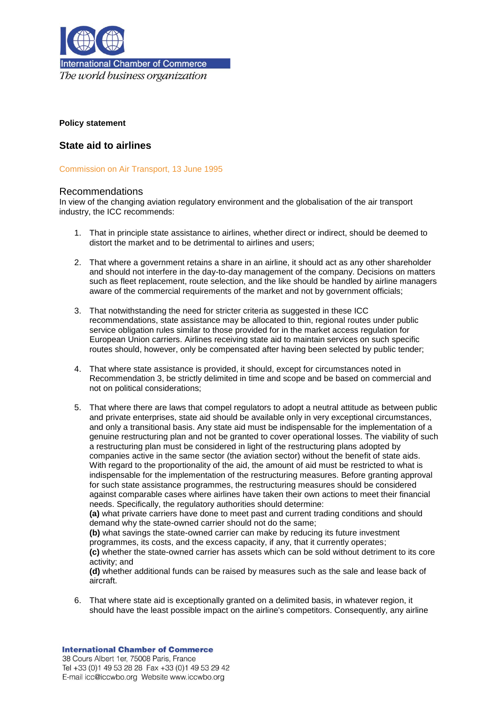

The world business organization

# **Policy statement**

# **State aid to airlines**

Commission on Air Transport, 13 June 1995

# Recommendations

In view of the changing aviation regulatory environment and the globalisation of the air transport industry, the ICC recommends:

- 1. That in principle state assistance to airlines, whether direct or indirect, should be deemed to distort the market and to be detrimental to airlines and users;
- 2. That where a government retains a share in an airline, it should act as any other shareholder and should not interfere in the day-to-day management of the company. Decisions on matters such as fleet replacement, route selection, and the like should be handled by airline managers aware of the commercial requirements of the market and not by government officials;
- 3. That notwithstanding the need for stricter criteria as suggested in these ICC recommendations, state assistance may be allocated to thin, regional routes under public service obligation rules similar to those provided for in the market access regulation for European Union carriers. Airlines receiving state aid to maintain services on such specific routes should, however, only be compensated after having been selected by public tender;
- 4. That where state assistance is provided, it should, except for circumstances noted in Recommendation 3, be strictly delimited in time and scope and be based on commercial and not on political considerations;
- 5. That where there are laws that compel regulators to adopt a neutral attitude as between public and private enterprises, state aid should be available only in very exceptional circumstances, and only a transitional basis. Any state aid must be indispensable for the implementation of a genuine restructuring plan and not be granted to cover operational losses. The viability of such a restructuring plan must be considered in light of the restructuring plans adopted by companies active in the same sector (the aviation sector) without the benefit of state aids. With regard to the proportionality of the aid, the amount of aid must be restricted to what is indispensable for the implementation of the restructuring measures. Before granting approval for such state assistance programmes, the restructuring measures should be considered against comparable cases where airlines have taken their own actions to meet their financial needs. Specifically, the regulatory authorities should determine:

**(a)** what private carriers have done to meet past and current trading conditions and should demand why the state-owned carrier should not do the same;

**(b)** what savings the state-owned carrier can make by reducing its future investment programmes, its costs, and the excess capacity, if any, that it currently operates; **(c)** whether the state-owned carrier has assets which can be sold without detriment to its core activity; and

**(d)** whether additional funds can be raised by measures such as the sale and lease back of aircraft.

6. That where state aid is exceptionally granted on a delimited basis, in whatever region, it should have the least possible impact on the airline's competitors. Consequently, any airline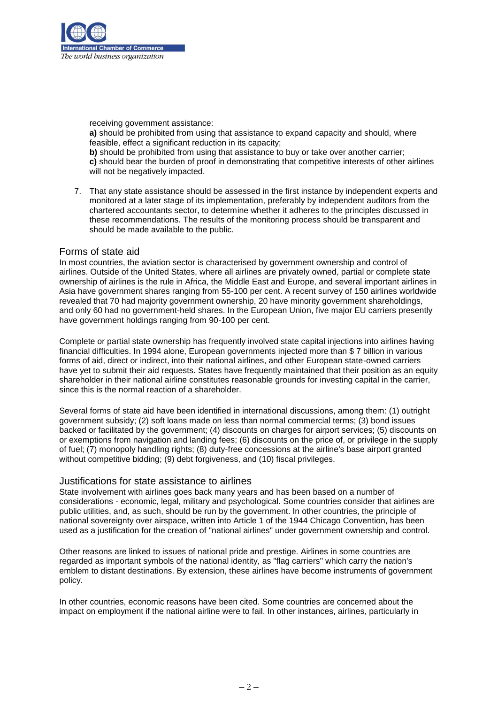

receiving government assistance: **a)** should be prohibited from using that assistance to expand capacity and should, where feasible, effect a significant reduction in its capacity; **b)** should be prohibited from using that assistance to buy or take over another carrier; **c)** should bear the burden of proof in demonstrating that competitive interests of other airlines will not be negatively impacted.

7. That any state assistance should be assessed in the first instance by independent experts and monitored at a later stage of its implementation, preferably by independent auditors from the chartered accountants sector, to determine whether it adheres to the principles discussed in these recommendations. The results of the monitoring process should be transparent and should be made available to the public.

# Forms of state aid

In most countries, the aviation sector is characterised by government ownership and control of airlines. Outside of the United States, where all airlines are privately owned, partial or complete state ownership of airlines is the rule in Africa, the Middle East and Europe, and several important airlines in Asia have government shares ranging from 55-100 per cent. A recent survey of 150 airlines worldwide revealed that 70 had majority government ownership, 20 have minority government shareholdings, and only 60 had no government-held shares. In the European Union, five major EU carriers presently have government holdings ranging from 90-100 per cent.

Complete or partial state ownership has frequently involved state capital injections into airlines having financial difficulties. In 1994 alone, European governments injected more than \$ 7 billion in various forms of aid, direct or indirect, into their national airlines, and other European state-owned carriers have yet to submit their aid requests. States have frequently maintained that their position as an equity shareholder in their national airline constitutes reasonable grounds for investing capital in the carrier, since this is the normal reaction of a shareholder.

Several forms of state aid have been identified in international discussions, among them: (1) outright government subsidy; (2) soft loans made on less than normal commercial terms; (3) bond issues backed or facilitated by the government; (4) discounts on charges for airport services; (5) discounts on or exemptions from navigation and landing fees; (6) discounts on the price of, or privilege in the supply of fuel; (7) monopoly handling rights; (8) duty-free concessions at the airline's base airport granted without competitive bidding; (9) debt forgiveness, and (10) fiscal privileges.

#### Justifications for state assistance to airlines

State involvement with airlines goes back many years and has been based on a number of considerations - economic, legal, military and psychological. Some countries consider that airlines are public utilities, and, as such, should be run by the government. In other countries, the principle of national sovereignty over airspace, written into Article 1 of the 1944 Chicago Convention, has been used as a justification for the creation of "national airlines" under government ownership and control.

Other reasons are linked to issues of national pride and prestige. Airlines in some countries are regarded as important symbols of the national identity, as "flag carriers" which carry the nation's emblem to distant destinations. By extension, these airlines have become instruments of government policy.

In other countries, economic reasons have been cited. Some countries are concerned about the impact on employment if the national airline were to fail. In other instances, airlines, particularly in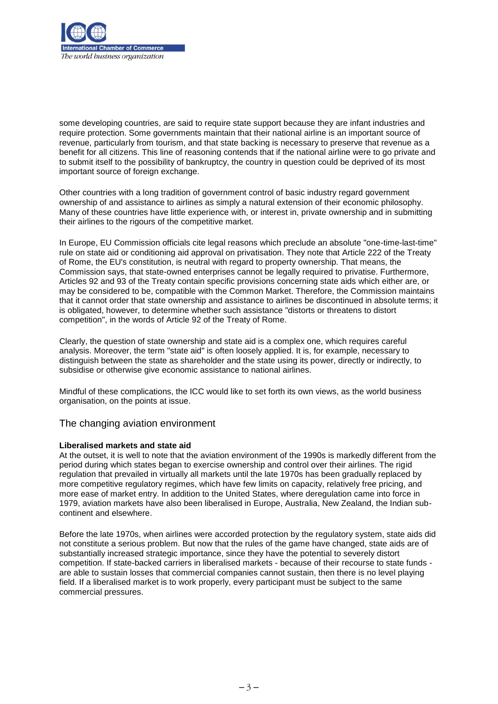

some developing countries, are said to require state support because they are infant industries and require protection. Some governments maintain that their national airline is an important source of revenue, particularly from tourism, and that state backing is necessary to preserve that revenue as a benefit for all citizens. This line of reasoning contends that if the national airline were to go private and to submit itself to the possibility of bankruptcy, the country in question could be deprived of its most important source of foreign exchange.

Other countries with a long tradition of government control of basic industry regard government ownership of and assistance to airlines as simply a natural extension of their economic philosophy. Many of these countries have little experience with, or interest in, private ownership and in submitting their airlines to the rigours of the competitive market.

In Europe, EU Commission officials cite legal reasons which preclude an absolute "one-time-last-time" rule on state aid or conditioning aid approval on privatisation. They note that Article 222 of the Treaty of Rome, the EU's constitution, is neutral with regard to property ownership. That means, the Commission says, that state-owned enterprises cannot be legally required to privatise. Furthermore, Articles 92 and 93 of the Treaty contain specific provisions concerning state aids which either are, or may be considered to be, compatible with the Common Market. Therefore, the Commission maintains that it cannot order that state ownership and assistance to airlines be discontinued in absolute terms; it is obligated, however, to determine whether such assistance "distorts or threatens to distort competition", in the words of Article 92 of the Treaty of Rome.

Clearly, the question of state ownership and state aid is a complex one, which requires careful analysis. Moreover, the term "state aid" is often loosely applied. It is, for example, necessary to distinguish between the state as shareholder and the state using its power, directly or indirectly, to subsidise or otherwise give economic assistance to national airlines.

Mindful of these complications, the ICC would like to set forth its own views, as the world business organisation, on the points at issue.

# The changing aviation environment

# **Liberalised markets and state aid**

At the outset, it is well to note that the aviation environment of the 1990s is markedly different from the period during which states began to exercise ownership and control over their airlines. The rigid regulation that prevailed in virtually all markets until the late 1970s has been gradually replaced by more competitive regulatory regimes, which have few limits on capacity, relatively free pricing, and more ease of market entry. In addition to the United States, where deregulation came into force in 1979, aviation markets have also been liberalised in Europe, Australia, New Zealand, the Indian subcontinent and elsewhere.

Before the late 1970s, when airlines were accorded protection by the regulatory system, state aids did not constitute a serious problem. But now that the rules of the game have changed, state aids are of substantially increased strategic importance, since they have the potential to severely distort competition. If state-backed carriers in liberalised markets - because of their recourse to state funds are able to sustain losses that commercial companies cannot sustain, then there is no level playing field. If a liberalised market is to work properly, every participant must be subject to the same commercial pressures.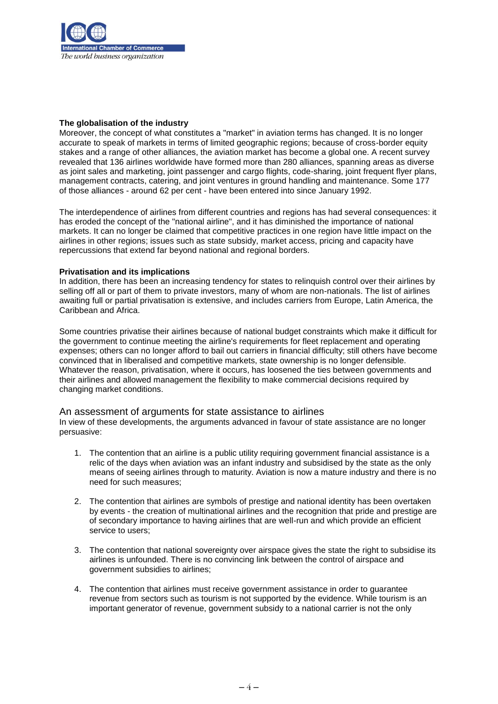

#### **The globalisation of the industry**

Moreover, the concept of what constitutes a "market" in aviation terms has changed. It is no longer accurate to speak of markets in terms of limited geographic regions; because of cross-border equity stakes and a range of other alliances, the aviation market has become a global one. A recent survey revealed that 136 airlines worldwide have formed more than 280 alliances, spanning areas as diverse as joint sales and marketing, joint passenger and cargo flights, code-sharing, joint frequent flyer plans, management contracts, catering, and joint ventures in ground handling and maintenance. Some 177 of those alliances - around 62 per cent - have been entered into since January 1992.

The interdependence of airlines from different countries and regions has had several consequences: it has eroded the concept of the "national airline", and it has diminished the importance of national markets. It can no longer be claimed that competitive practices in one region have little impact on the airlines in other regions; issues such as state subsidy, market access, pricing and capacity have repercussions that extend far beyond national and regional borders.

#### **Privatisation and its implications**

In addition, there has been an increasing tendency for states to relinquish control over their airlines by selling off all or part of them to private investors, many of whom are non-nationals. The list of airlines awaiting full or partial privatisation is extensive, and includes carriers from Europe, Latin America, the Caribbean and Africa.

Some countries privatise their airlines because of national budget constraints which make it difficult for the government to continue meeting the airline's requirements for fleet replacement and operating expenses; others can no longer afford to bail out carriers in financial difficulty; still others have become convinced that in liberalised and competitive markets, state ownership is no longer defensible. Whatever the reason, privatisation, where it occurs, has loosened the ties between governments and their airlines and allowed management the flexibility to make commercial decisions required by changing market conditions.

#### An assessment of arguments for state assistance to airlines

In view of these developments, the arguments advanced in favour of state assistance are no longer persuasive:

- 1. The contention that an airline is a public utility requiring government financial assistance is a relic of the days when aviation was an infant industry and subsidised by the state as the only means of seeing airlines through to maturity. Aviation is now a mature industry and there is no need for such measures;
- 2. The contention that airlines are symbols of prestige and national identity has been overtaken by events - the creation of multinational airlines and the recognition that pride and prestige are of secondary importance to having airlines that are well-run and which provide an efficient service to users;
- 3. The contention that national sovereignty over airspace gives the state the right to subsidise its airlines is unfounded. There is no convincing link between the control of airspace and government subsidies to airlines;
- 4. The contention that airlines must receive government assistance in order to guarantee revenue from sectors such as tourism is not supported by the evidence. While tourism is an important generator of revenue, government subsidy to a national carrier is not the only